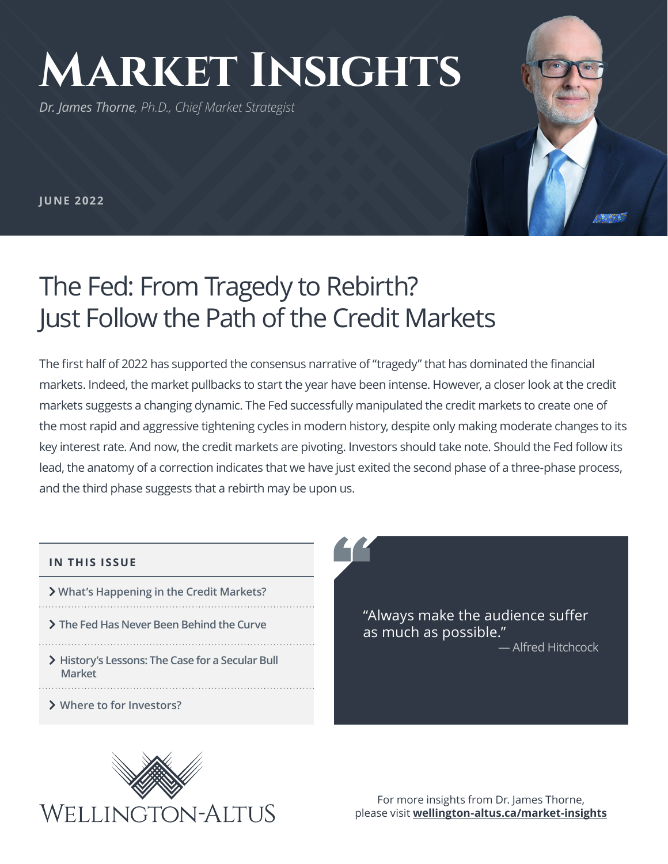# **Market Insights**

*Dr. James Thorne, Ph.D., Chief Market Strategist*

**JUNE 2022**

# The Fed: From Tragedy to Rebirth? Just Follow the Path of the Credit Markets

The first half of 2022 has supported the consensus narrative of "tragedy" that has dominated the financial markets. Indeed, the market pullbacks to start the year have been intense. However, a closer look at the credit markets suggests a changing dynamic. The Fed successfully manipulated the credit markets to create one of the most rapid and aggressive tightening cycles in modern history, despite only making moderate changes to its key interest rate. And now, the credit markets are pivoting. Investors should take note. Should the Fed follow its lead, the anatomy of a correction indicates that we have just exited the second phase of a three-phase process, and the third phase suggests that a rebirth may be upon us.

#### **IN THIS ISSUE**

- **E**What's Happening in the Credit Markets?
- $\sum$  The Fed Has Never Been Behind the Curve
- 
- > History's Lessons: The Case for a Secular Bull  **Market**
- $\sum$  Where to for Investors?

"Always make the audience suffer as much as possible." — Alfred Hitchcock



For more insights from Dr. James Thorne, please visit **wellington-altus.ca/market-insights**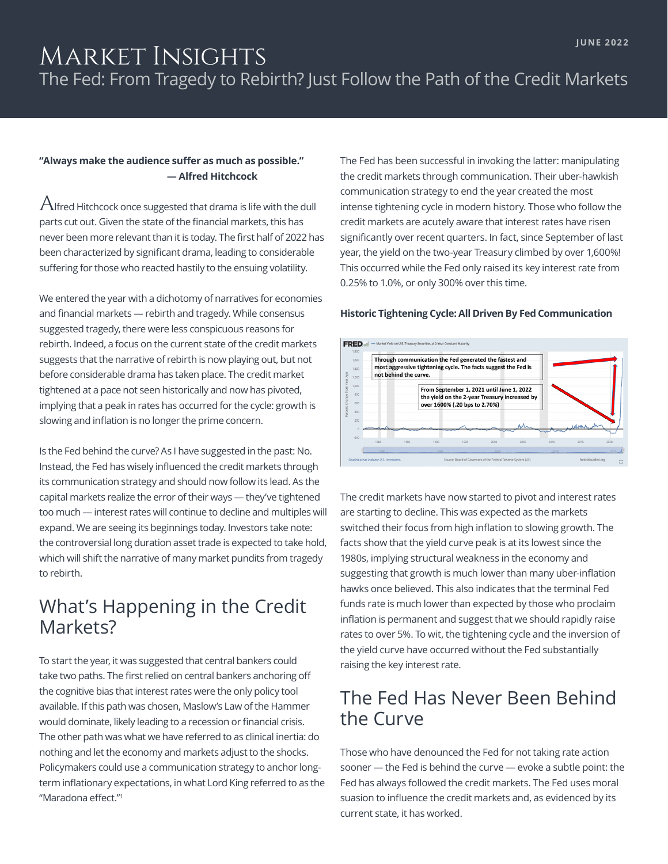## Market Insights The Fed: From Tragedy to Rebirth? Just Follow the Path of the Credit Markets

#### **"Always make the audience suffer as much as possible." — Alfred Hitchcock**

 $A$ lfred Hitchcock once suggested that drama is life with the dull parts cut out. Given the state of the financial markets, this has never been more relevant than it is today. The first half of 2022 has been characterized by significant drama, leading to considerable suffering for those who reacted hastily to the ensuing volatility.

We entered the year with a dichotomy of narratives for economies and financial markets — rebirth and tragedy. While consensus suggested tragedy, there were less conspicuous reasons for rebirth. Indeed, a focus on the current state of the credit markets suggests that the narrative of rebirth is now playing out, but not before considerable drama has taken place. The credit market tightened at a pace not seen historically and now has pivoted, implying that a peak in rates has occurred for the cycle: growth is slowing and inflation is no longer the prime concern.

Is the Fed behind the curve? As I have suggested in the past: No. Instead, the Fed has wisely influenced the credit markets through its communication strategy and should now follow its lead. As the capital markets realize the error of their ways — they've tightened too much — interest rates will continue to decline and multiples will expand. We are seeing its beginnings today. Investors take note: the controversial long duration asset trade is expected to take hold, which will shift the narrative of many market pundits from tragedy to rebirth.

#### What's Happening in the Credit Markets?

To start the year, it was suggested that central bankers could take two paths. The first relied on central bankers anchoring off the cognitive bias that interest rates were the only policy tool available. If this path was chosen, Maslow's Law of the Hammer would dominate, likely leading to a recession or financial crisis. The other path was what we have referred to as clinical inertia: do nothing and let the economy and markets adjust to the shocks. Policymakers could use a communication strategy to anchor longterm inflationary expectations, in what Lord King referred to as the "Maradona effect."<sup>1</sup>

The Fed has been successful in invoking the latter: manipulating the credit markets through communication. Their uber-hawkish communication strategy to end the year created the most intense tightening cycle in modern history. Those who follow the credit markets are acutely aware that interest rates have risen significantly over recent quarters. In fact, since September of last year, the yield on the two-year Treasury climbed by over 1,600%! This occurred while the Fed only raised its key interest rate from 0.25% to 1.0%, or only 300% over this time.

#### **Historic Tightening Cycle: All Driven By Fed Communication**



The credit markets have now started to pivot and interest rates are starting to decline. This was expected as the markets switched their focus from high inflation to slowing growth. The facts show that the yield curve peak is at its lowest since the 1980s, implying structural weakness in the economy and suggesting that growth is much lower than many uber-inflation hawks once believed. This also indicates that the terminal Fed funds rate is much lower than expected by those who proclaim inflation is permanent and suggest that we should rapidly raise rates to over 5%. To wit, the tightening cycle and the inversion of the yield curve have occurred without the Fed substantially raising the key interest rate.

### The Fed Has Never Been Behind the Curve

Those who have denounced the Fed for not taking rate action sooner — the Fed is behind the curve — evoke a subtle point: the Fed has always followed the credit markets. The Fed uses moral suasion to influence the credit markets and, as evidenced by its current state, it has worked.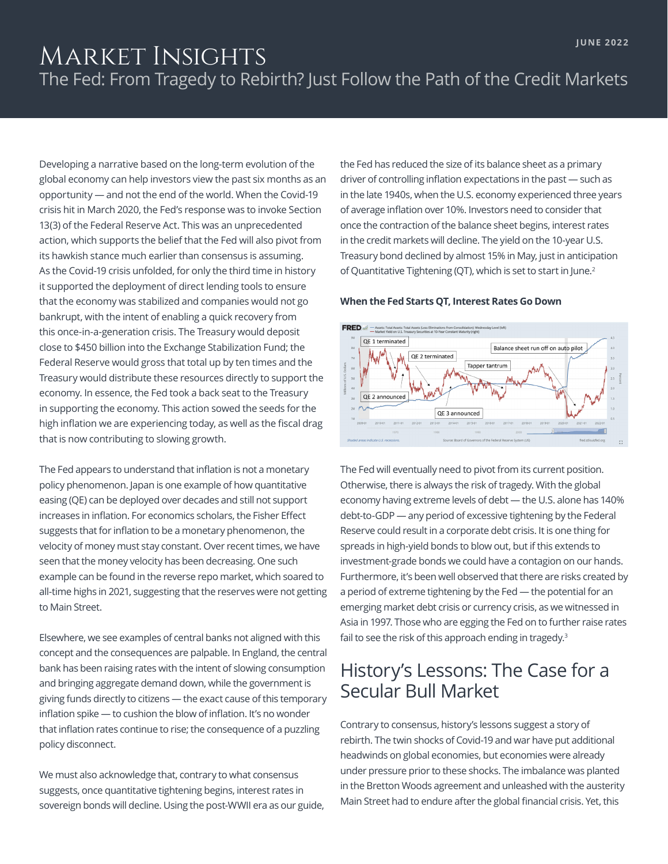## MARKET INSIGHTS The Fed: From Tragedy to Rebirth? Just Follow the Path of the Credit Markets

Developing a narrative based on the long-term evolution of the global economy can help investors view the past six months as an opportunity — and not the end of the world. When the Covid-19 crisis hit in March 2020, the Fed's response was to invoke Section 13(3) of the Federal Reserve Act. This was an unprecedented action, which supports the belief that the Fed will also pivot from its hawkish stance much earlier than consensus is assuming. As the Covid-19 crisis unfolded, for only the third time in history it supported the deployment of direct lending tools to ensure that the economy was stabilized and companies would not go bankrupt, with the intent of enabling a quick recovery from this once-in-a-generation crisis. The Treasury would deposit close to \$450 billion into the Exchange Stabilization Fund; the Federal Reserve would gross that total up by ten times and the Treasury would distribute these resources directly to support the economy. In essence, the Fed took a back seat to the Treasury in supporting the economy. This action sowed the seeds for the high inflation we are experiencing today, as well as the fiscal drag that is now contributing to slowing growth.

The Fed appears to understand that inflation is not a monetary policy phenomenon. Japan is one example of how quantitative easing (QE) can be deployed over decades and still not support increases in inflation. For economics scholars, the Fisher Effect suggests that for inflation to be a monetary phenomenon, the velocity of money must stay constant. Over recent times, we have seen that the money velocity has been decreasing. One such example can be found in the reverse repo market, which soared to all-time highs in 2021, suggesting that the reserves were not getting to Main Street.

Elsewhere, we see examples of central banks not aligned with this concept and the consequences are palpable. In England, the central bank has been raising rates with the intent of slowing consumption and bringing aggregate demand down, while the government is giving funds directly to citizens — the exact cause of this temporary inflation spike — to cushion the blow of inflation. It's no wonder that inflation rates continue to rise; the consequence of a puzzling policy disconnect.

We must also acknowledge that, contrary to what consensus suggests, once quantitative tightening begins, interest rates in sovereign bonds will decline. Using the post-WWII era as our guide, the Fed has reduced the size of its balance sheet as a primary driver of controlling inflation expectations in the past — such as in the late 1940s, when the U.S. economy experienced three years of average inflation over 10%. Investors need to consider that once the contraction of the balance sheet begins, interest rates in the credit markets will decline. The yield on the 10-year U.S. Treasury bond declined by almost 15% in May, just in anticipation of Quantitative Tightening (QT), which is set to start in June.<sup>2</sup>

#### **When the Fed Starts QT, Interest Rates Go Down**



The Fed will eventually need to pivot from its current position. Otherwise, there is always the risk of tragedy. With the global economy having extreme levels of debt — the U.S. alone has 140% debt-to-GDP — any period of excessive tightening by the Federal Reserve could result in a corporate debt crisis. It is one thing for spreads in high-yield bonds to blow out, but if this extends to investment-grade bonds we could have a contagion on our hands. Furthermore, it's been well observed that there are risks created by a period of extreme tightening by the Fed — the potential for an emerging market debt crisis or currency crisis, as we witnessed in Asia in 1997. Those who are egging the Fed on to further raise rates fail to see the risk of this approach ending in tragedy.<sup>3</sup>

#### History's Lessons: The Case for a Secular Bull Market

Contrary to consensus, history's lessons suggest a story of rebirth. The twin shocks of Covid-19 and war have put additional headwinds on global economies, but economies were already under pressure prior to these shocks. The imbalance was planted in the Bretton Woods agreement and unleashed with the austerity Main Street had to endure after the global financial crisis. Yet, this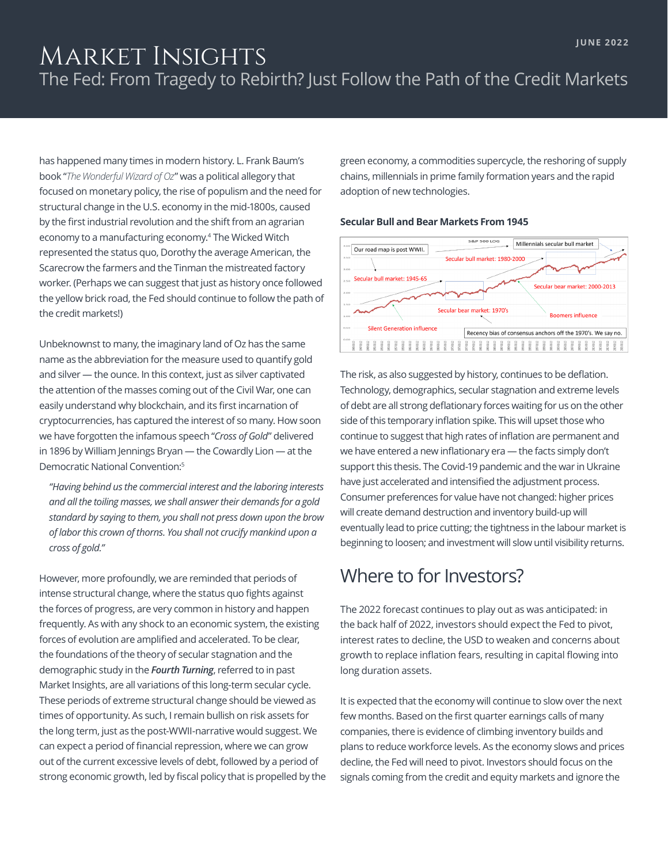## Market Insights The Fed: From Tragedy to Rebirth? Just Follow the Path of the Credit Markets

has happened many times in modern history. L. Frank Baum's book "*The Wonderful Wizard of Oz*" was a political allegory that focused on monetary policy, the rise of populism and the need for structural change in the U.S. economy in the mid-1800s, caused by the first industrial revolution and the shift from an agrarian economy to a manufacturing economy.4 The Wicked Witch represented the status quo, Dorothy the average American, the Scarecrow the farmers and the Tinman the mistreated factory worker. (Perhaps we can suggest that just as history once followed the yellow brick road, the Fed should continue to follow the path of the credit markets!)

Unbeknownst to many, the imaginary land of Oz has the same name as the abbreviation for the measure used to quantify gold and silver — the ounce. In this context, just as silver captivated the attention of the masses coming out of the Civil War, one can easily understand why blockchain, and its first incarnation of cryptocurrencies, has captured the interest of so many. How soon we have forgotten the infamous speech "*Cross of Gold*" delivered in 1896 by William Jennings Bryan — the Cowardly Lion — at the Democratic National Convention:5

*"Having behind us the commercial interest and the laboring interests and all the toiling masses, we shall answer their demands for a gold standard by saying to them, you shall not press down upon the brow of labor this crown of thorns. You shall not crucify mankind upon a cross of gold."*

However, more profoundly, we are reminded that periods of intense structural change, where the status quo fights against the forces of progress, are very common in history and happen frequently. As with any shock to an economic system, the existing forces of evolution are amplified and accelerated. To be clear, the foundations of the theory of secular stagnation and the demographic study in the *Fourth Turning*, referred to in past Market Insights, are all variations of this long-term secular cycle. These periods of extreme structural change should be viewed as times of opportunity. As such, I remain bullish on risk assets for the long term, just as the post-WWII-narrative would suggest. We can expect a period of financial repression, where we can grow out of the current excessive levels of debt, followed by a period of strong economic growth, led by fiscal policy that is propelled by the green economy, a commodities supercycle, the reshoring of supply chains, millennials in prime family formation years and the rapid adoption of new technologies.

#### **Secular Bull and Bear Markets From 1945**



The risk, as also suggested by history, continues to be deflation. Technology, demographics, secular stagnation and extreme levels of debt are all strong deflationary forces waiting for us on the other side of this temporary inflation spike. This will upset those who continue to suggest that high rates of inflation are permanent and we have entered a new inflationary era — the facts simply don't support this thesis. The Covid-19 pandemic and the war in Ukraine have just accelerated and intensified the adjustment process. Consumer preferences for value have not changed: higher prices will create demand destruction and inventory build-up will eventually lead to price cutting; the tightness in the labour market is beginning to loosen; and investment will slow until visibility returns.

#### Where to for Investors?

The 2022 forecast continues to play out as was anticipated: in the back half of 2022, investors should expect the Fed to pivot, interest rates to decline, the USD to weaken and concerns about growth to replace inflation fears, resulting in capital flowing into long duration assets.

It is expected that the economy will continue to slow over the next few months. Based on the first quarter earnings calls of many companies, there is evidence of climbing inventory builds and plans to reduce workforce levels. As the economy slows and prices decline, the Fed will need to pivot. Investors should focus on the signals coming from the credit and equity markets and ignore the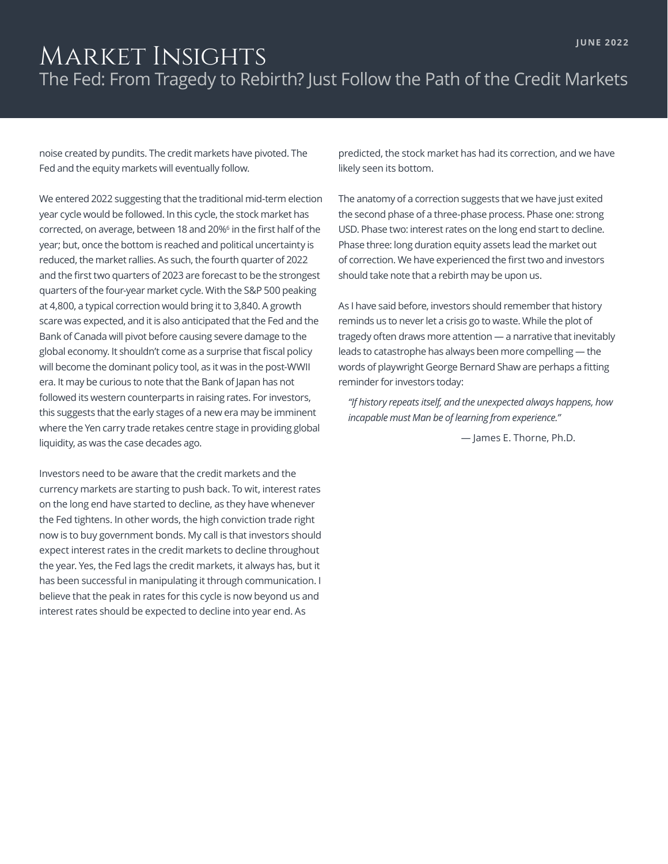## Market Insights The Fed: From Tragedy to Rebirth? Just Follow the Path of the Credit Markets

noise created by pundits. The credit markets have pivoted. The Fed and the equity markets will eventually follow.

We entered 2022 suggesting that the traditional mid-term election year cycle would be followed. In this cycle, the stock market has corrected, on average, between 18 and 20%<sup>6</sup> in the first half of the year; but, once the bottom is reached and political uncertainty is reduced, the market rallies. As such, the fourth quarter of 2022 and the first two quarters of 2023 are forecast to be the strongest quarters of the four-year market cycle. With the S&P 500 peaking at 4,800, a typical correction would bring it to 3,840. A growth scare was expected, and it is also anticipated that the Fed and the Bank of Canada will pivot before causing severe damage to the global economy. It shouldn't come as a surprise that fiscal policy will become the dominant policy tool, as it was in the post-WWII era. It may be curious to note that the Bank of Japan has not followed its western counterparts in raising rates. For investors, this suggests that the early stages of a new era may be imminent where the Yen carry trade retakes centre stage in providing global liquidity, as was the case decades ago.

Investors need to be aware that the credit markets and the currency markets are starting to push back. To wit, interest rates on the long end have started to decline, as they have whenever the Fed tightens. In other words, the high conviction trade right now is to buy government bonds. My call is that investors should expect interest rates in the credit markets to decline throughout the year. Yes, the Fed lags the credit markets, it always has, but it has been successful in manipulating it through communication. I believe that the peak in rates for this cycle is now beyond us and interest rates should be expected to decline into year end. As

predicted, the stock market has had its correction, and we have likely seen its bottom.

The anatomy of a correction suggests that we have just exited the second phase of a three-phase process. Phase one: strong USD. Phase two: interest rates on the long end start to decline. Phase three: long duration equity assets lead the market out of correction. We have experienced the first two and investors should take note that a rebirth may be upon us.

As I have said before, investors should remember that history reminds us to never let a crisis go to waste. While the plot of tragedy often draws more attention — a narrative that inevitably leads to catastrophe has always been more compelling — the words of playwright George Bernard Shaw are perhaps a fitting reminder for investors today:

*"If history repeats itself, and the unexpected always happens, how incapable must Man be of learning from experience."*

— James E. Thorne, Ph.D.